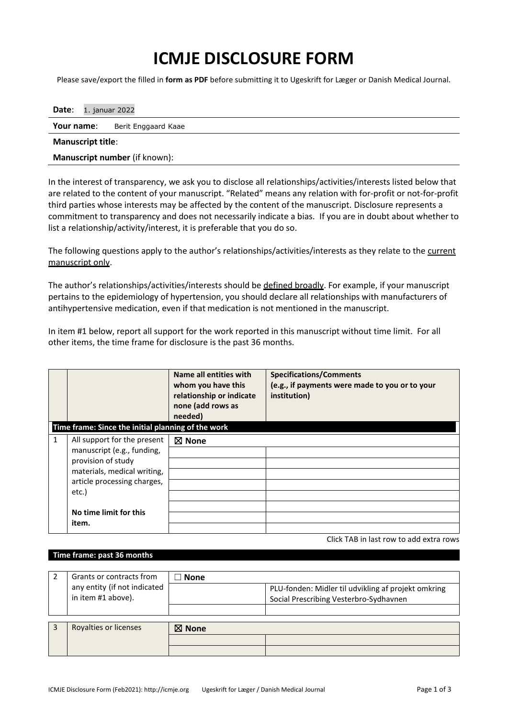## **ICMJE DISCLOSURE FORM**

Please save/export the filled in **form as PDF** before submitting it to Ugeskrift for Læger or Danish Medical Journal.

| <b>Date:</b> 1. januar 2022          |  |  |  |  |  |
|--------------------------------------|--|--|--|--|--|
| Your name:<br>Berit Enggaard Kaae    |  |  |  |  |  |
| <b>Manuscript title:</b>             |  |  |  |  |  |
| <b>Manuscript number</b> (if known): |  |  |  |  |  |

In the interest of transparency, we ask you to disclose all relationships/activities/interests listed below that are related to the content of your manuscript. "Related" means any relation with for-profit or not-for-profit third parties whose interests may be affected by the content of the manuscript. Disclosure represents a commitment to transparency and does not necessarily indicate a bias. If you are in doubt about whether to list a relationship/activity/interest, it is preferable that you do so.

The following questions apply to the author's relationships/activities/interests as they relate to the current manuscript only.

The author's relationships/activities/interests should be defined broadly. For example, if your manuscript pertains to the epidemiology of hypertension, you should declare all relationships with manufacturers of antihypertensive medication, even if that medication is not mentioned in the manuscript.

In item #1 below, report all support for the work reported in this manuscript without time limit. For all other items, the time frame for disclosure is the past 36 months.

| Time frame: Since the initial planning of the work                                                                                                                                    | Name all entities with<br>whom you have this<br>relationship or indicate<br>none (add rows as<br>needed) | <b>Specifications/Comments</b><br>(e.g., if payments were made to you or to your<br>institution) |
|---------------------------------------------------------------------------------------------------------------------------------------------------------------------------------------|----------------------------------------------------------------------------------------------------------|--------------------------------------------------------------------------------------------------|
| All support for the present<br>1<br>manuscript (e.g., funding,<br>provision of study<br>materials, medical writing,<br>article processing charges,<br>etc.)<br>No time limit for this | $\boxtimes$ None                                                                                         |                                                                                                  |

Click TAB in last row to add extra rows

## **Time frame: past 36 months**

| Grants or contracts from                           | <b>None</b>      |                                                                                               |  |  |  |
|----------------------------------------------------|------------------|-----------------------------------------------------------------------------------------------|--|--|--|
| any entity (if not indicated<br>in item #1 above). |                  | PLU-fonden: Midler til udvikling af projekt omkring<br>Social Prescribing Vesterbro-Sydhavnen |  |  |  |
|                                                    |                  |                                                                                               |  |  |  |
|                                                    |                  |                                                                                               |  |  |  |
| Royalties or licenses                              | $\boxtimes$ None |                                                                                               |  |  |  |
|                                                    |                  |                                                                                               |  |  |  |
|                                                    |                  |                                                                                               |  |  |  |